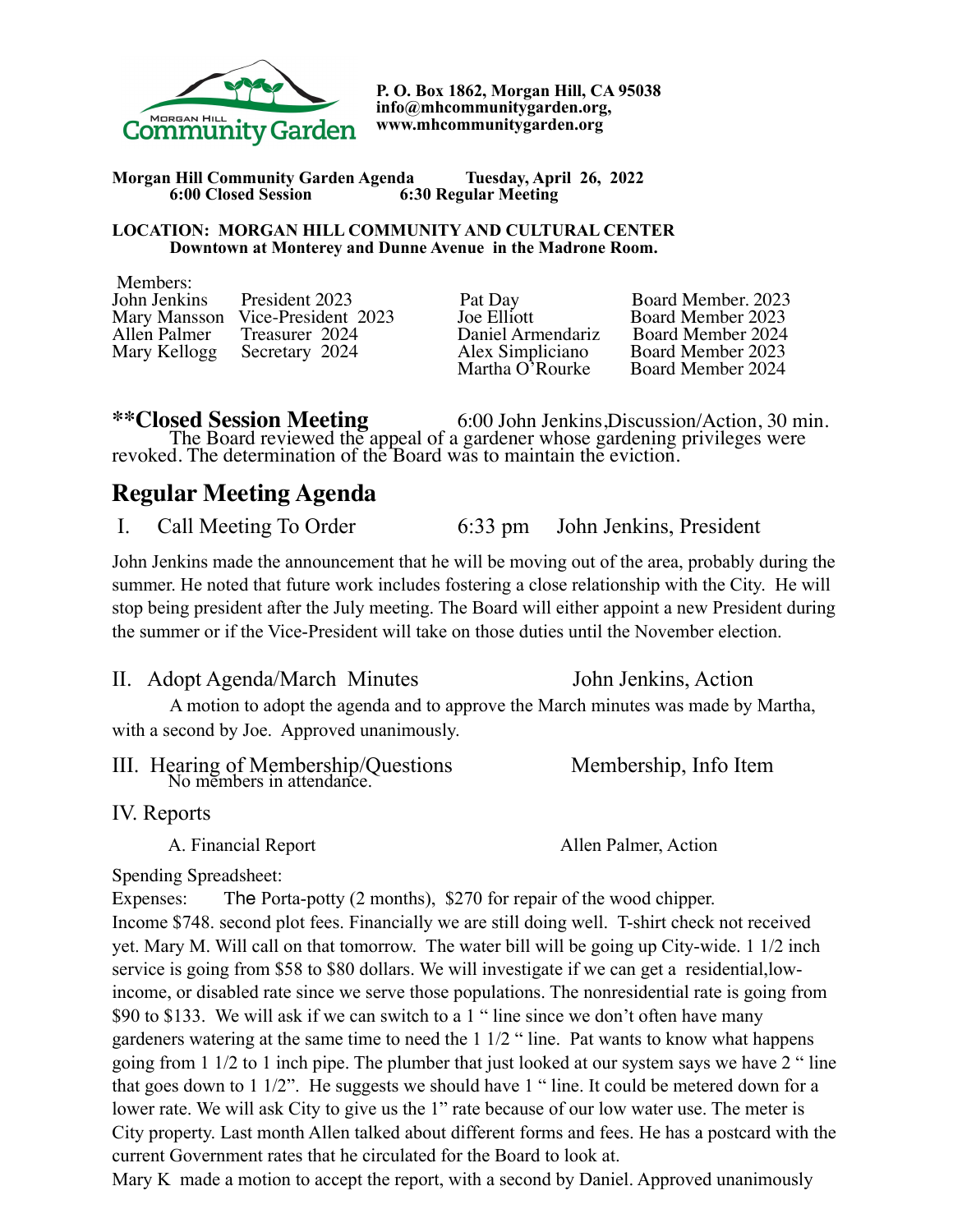

**P. O. Box 1862, Morgan Hill, CA 95038 info@mhcommunitygarden.org, www.mhcommunitygarden.org** 

**Morgan Hill Community Garden Agenda Tuesday, April 26, 2022 6:00 Closed Session 6:30 Regular Meeting** 

#### **LOCATION: MORGAN HILL COMMUNITY AND CULTURAL CENTER Downtown at Monterey and Dunne Avenue in the Madrone Room.**

| Members:     |                                  |                   |                    |
|--------------|----------------------------------|-------------------|--------------------|
| John Jenkins | President 2023                   | Pat Day           | Board Member, 2023 |
|              | Mary Mansson Vice-President 2023 | Joe Elliott       | Board Member 2023  |
|              | Allen Palmer Treasurer 2024      | Daniel Armendariz | Board Member 2024  |
|              | Mary Kellogg Secretary 2024      | Alex Simpliciano  | Board Member 2023  |
|              |                                  | Martha O'Rourke   | Board Member 2024  |

**\*\*Closed Session Meeting** 6:00 John Jenkins,Discussion/Action, 30 min. The Board reviewed the appeal of a gardener whose gardening privileges were revoked. The determination of the Board was to maintain the eviction.

# **Regular Meeting Agenda**

I. Call Meeting To Order 6:33 pm John Jenkins, President

John Jenkins made the announcement that he will be moving out of the area, probably during the summer. He noted that future work includes fostering a close relationship with the City. He will stop being president after the July meeting. The Board will either appoint a new President during the summer or if the Vice-President will take on those duties until the November election.

II. Adopt Agenda/March Minutes John Jenkins, Action A motion to adopt the agenda and to approve the March minutes was made by Martha, with a second by Joe. Approved unanimously.

| III. Hearing of Membership/Questions<br>No members in attendance. | Membership, Info Item |
|-------------------------------------------------------------------|-----------------------|
|                                                                   |                       |

IV. Reports

A. Financial Report Allen Palmer, Action

#### Spending Spreadsheet:

Expenses: The Porta-potty (2 months), \$270 for repair of the wood chipper. Income \$748. second plot fees. Financially we are still doing well. T-shirt check not received yet. Mary M. Will call on that tomorrow. The water bill will be going up City-wide. 1 1/2 inch service is going from \$58 to \$80 dollars. We will investigate if we can get a residential,lowincome, or disabled rate since we serve those populations. The nonresidential rate is going from \$90 to \$133. We will ask if we can switch to a 1 " line since we don't often have many gardeners watering at the same time to need the 1 1/2 " line. Pat wants to know what happens going from 1 1/2 to 1 inch pipe. The plumber that just looked at our system says we have 2 " line that goes down to 1 1/2". He suggests we should have 1 " line. It could be metered down for a lower rate. We will ask City to give us the 1" rate because of our low water use. The meter is City property. Last month Allen talked about different forms and fees. He has a postcard with the current Government rates that he circulated for the Board to look at.

Mary K made a motion to accept the report, with a second by Daniel. Approved unanimously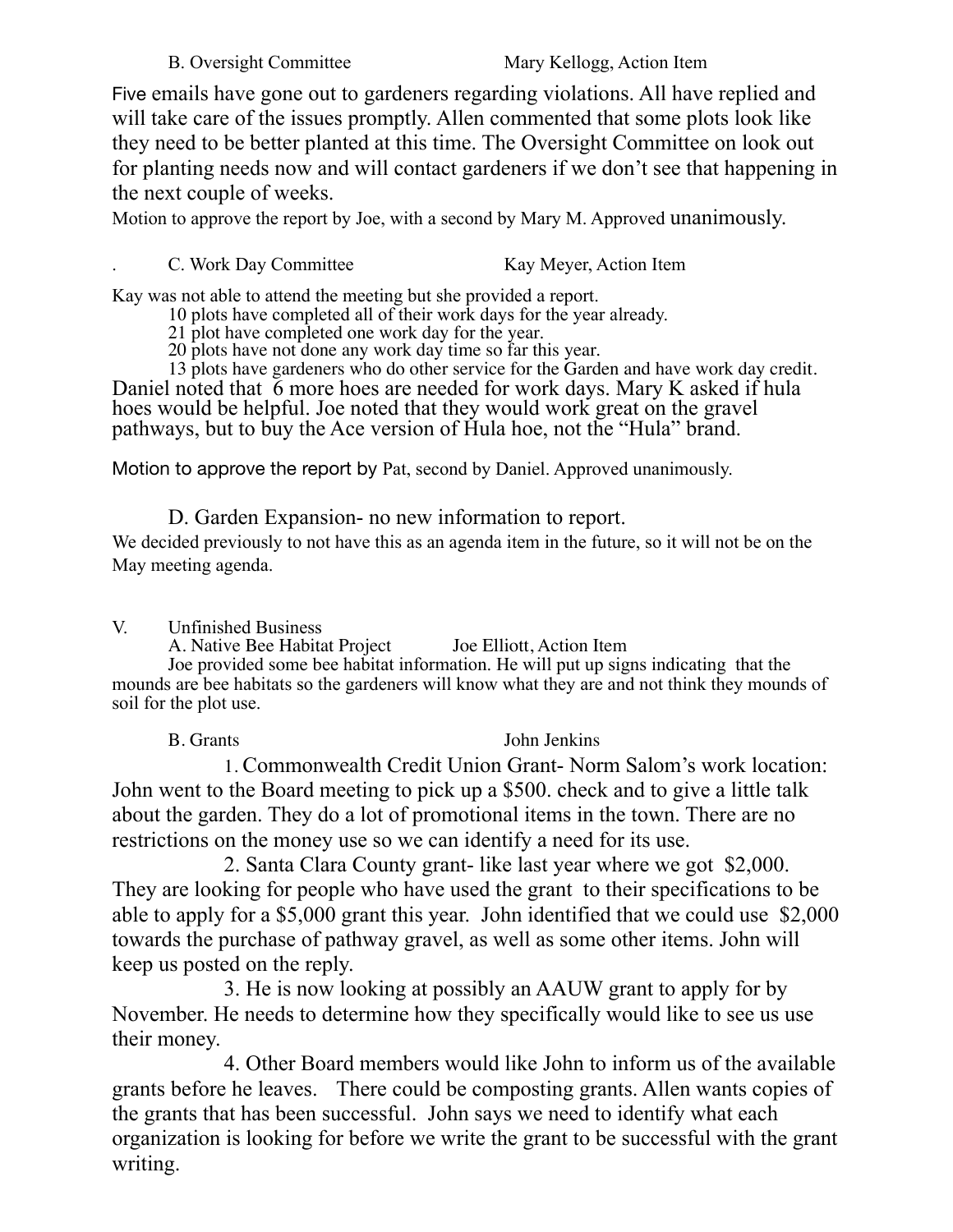Five emails have gone out to gardeners regarding violations. All have replied and will take care of the issues promptly. Allen commented that some plots look like they need to be better planted at this time. The Oversight Committee on look out for planting needs now and will contact gardeners if we don't see that happening in the next couple of weeks.

Motion to approve the report by Joe, with a second by Mary M. Approved unanimously.

### C. Work Day Committee Kay Meyer, Action Item

Kay was not able to attend the meeting but she provided a report.

10 plots have completed all of their work days for the year already.

21 plot have completed one work day for the year.

20 plots have not done any work day time so far this year.

13 plots have gardeners who do other service for the Garden and have work day credit. Daniel noted that 6 more hoes are needed for work days. Mary K asked if hula hoes would be helpful. Joe noted that they would work great on the gravel pathways, but to buy the Ace version of Hula hoe, not the "Hula" brand.

Motion to approve the report by Pat, second by Daniel. Approved unanimously.

D. Garden Expansion- no new information to report.

We decided previously to not have this as an agenda item in the future, so it will not be on the May meeting agenda.

## V. Unfinished Business

A. Native Bee Habitat Project Joe Elliott, Action Item

Joe provided some bee habitat information. He will put up signs indicating that the mounds are bee habitats so the gardeners will know what they are and not think they mounds of soil for the plot use.

B. Grants John Jenkins

1. Commonwealth Credit Union Grant- Norm Salom's work location: John went to the Board meeting to pick up a \$500. check and to give a little talk about the garden. They do a lot of promotional items in the town. There are no restrictions on the money use so we can identify a need for its use.

2. Santa Clara County grant- like last year where we got \$2,000. They are looking for people who have used the grant to their specifications to be able to apply for a \$5,000 grant this year. John identified that we could use \$2,000 towards the purchase of pathway gravel, as well as some other items. John will keep us posted on the reply.

3. He is now looking at possibly an AAUW grant to apply for by November. He needs to determine how they specifically would like to see us use their money.

4. Other Board members would like John to inform us of the available grants before he leaves. There could be composting grants. Allen wants copies of the grants that has been successful. John says we need to identify what each organization is looking for before we write the grant to be successful with the grant writing.